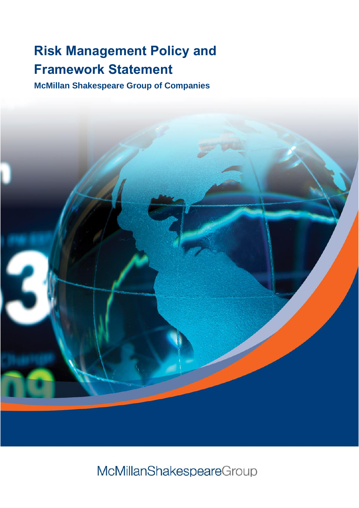# **Risk Management Policy and Framework Statement**

**McMillan Shakespeare Group of Companies**



McMillanShakespeareGroup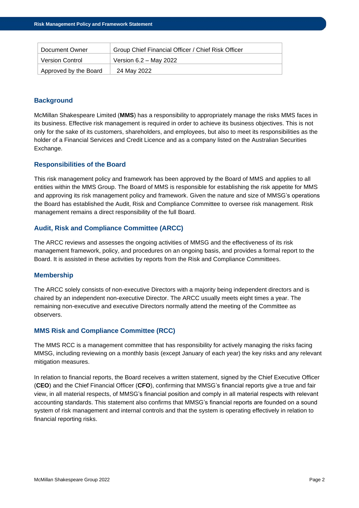| Document Owner         | Group Chief Financial Officer / Chief Risk Officer |
|------------------------|----------------------------------------------------|
| <b>Version Control</b> | Version 6.2 - May 2022                             |
| Approved by the Board  | 24 May 2022                                        |

# **Background**

McMillan Shakespeare Limited (**MMS**) has a responsibility to appropriately manage the risks MMS faces in its business. Effective risk management is required in order to achieve its business objectives. This is not only for the sake of its customers, shareholders, and employees, but also to meet its responsibilities as the holder of a Financial Services and Credit Licence and as a company listed on the Australian Securities Exchange.

# **Responsibilities of the Board**

This risk management policy and framework has been approved by the Board of MMS and applies to all entities within the MMS Group. The Board of MMS is responsible for establishing the risk appetite for MMS and approving its risk management policy and framework. Given the nature and size of MMSG's operations the Board has established the Audit, Risk and Compliance Committee to oversee risk management. Risk management remains a direct responsibility of the full Board.

# **Audit, Risk and Compliance Committee (ARCC)**

The ARCC reviews and assesses the ongoing activities of MMSG and the effectiveness of its risk management framework, policy, and procedures on an ongoing basis, and provides a formal report to the Board. It is assisted in these activities by reports from the Risk and Compliance Committees.

#### **Membership**

The ARCC solely consists of non-executive Directors with a majority being independent directors and is chaired by an independent non-executive Director. The ARCC usually meets eight times a year. The remaining non-executive and executive Directors normally attend the meeting of the Committee as observers.

#### **MMS Risk and Compliance Committee (RCC)**

The MMS RCC is a management committee that has responsibility for actively managing the risks facing MMSG, including reviewing on a monthly basis (except January of each year) the key risks and any relevant mitigation measures.

In relation to financial reports, the Board receives a written statement, signed by the Chief Executive Officer (**CEO**) and the Chief Financial Officer (**CFO**), confirming that MMSG's financial reports give a true and fair view, in all material respects, of MMSG's financial position and comply in all material respects with relevant accounting standards. This statement also confirms that MMSG's financial reports are founded on a sound system of risk management and internal controls and that the system is operating effectively in relation to financial reporting risks.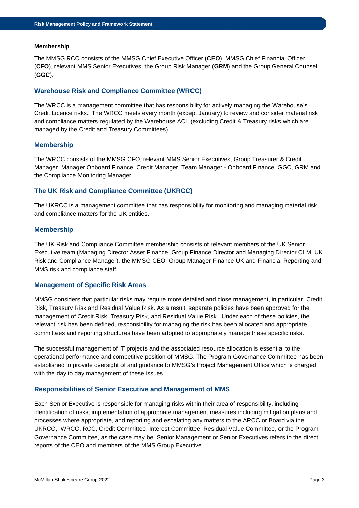#### **Membership**

The MMSG RCC consists of the MMSG Chief Executive Officer (**CEO**), MMSG Chief Financial Officer (**CFO**), relevant MMS Senior Executives, the Group Risk Manager (**GRM**) and the Group General Counsel (**GGC**).

## **Warehouse Risk and Compliance Committee (WRCC)**

The WRCC is a management committee that has responsibility for actively managing the Warehouse's Credit Licence risks. The WRCC meets every month (except January) to review and consider material risk and compliance matters regulated by the Warehouse ACL (excluding Credit & Treasury risks which are managed by the Credit and Treasury Committees).

## **Membership**

The WRCC consists of the MMSG CFO, relevant MMS Senior Executives, Group Treasurer & Credit Manager, Manager Onboard Finance, Credit Manager, Team Manager - Onboard Finance, GGC, GRM and the Compliance Monitoring Manager.

# **The UK Risk and Compliance Committee (UKRCC)**

The UKRCC is a management committee that has responsibility for monitoring and managing material risk and compliance matters for the UK entities.

## **Membership**

The UK Risk and Compliance Committee membership consists of relevant members of the UK Senior Executive team (Managing Director Asset Finance, Group Finance Director and Managing Director CLM, UK Risk and Compliance Manager), the MMSG CEO, Group Manager Finance UK and Financial Reporting and MMS risk and compliance staff.

#### **Management of Specific Risk Areas**

MMSG considers that particular risks may require more detailed and close management, in particular, Credit Risk, Treasury Risk and Residual Value Risk. As a result, separate policies have been approved for the management of Credit Risk, Treasury Risk, and Residual Value Risk. Under each of these policies, the relevant risk has been defined, responsibility for managing the risk has been allocated and appropriate committees and reporting structures have been adopted to appropriately manage these specific risks.

The successful management of IT projects and the associated resource allocation is essential to the operational performance and competitive position of MMSG. The Program Governance Committee has been established to provide oversight of and guidance to MMSG's Project Management Office which is charged with the day to day management of these issues.

#### **Responsibilities of Senior Executive and Management of MMS**

Each Senior Executive is responsible for managing risks within their area of responsibility, including identification of risks, implementation of appropriate management measures including mitigation plans and processes where appropriate, and reporting and escalating any matters to the ARCC or Board via the UKRCC, WRCC, RCC, Credit Committee, Interest Committee, Residual Value Committee, or the Program Governance Committee, as the case may be. Senior Management or Senior Executives refers to the direct reports of the CEO and members of the MMS Group Executive.